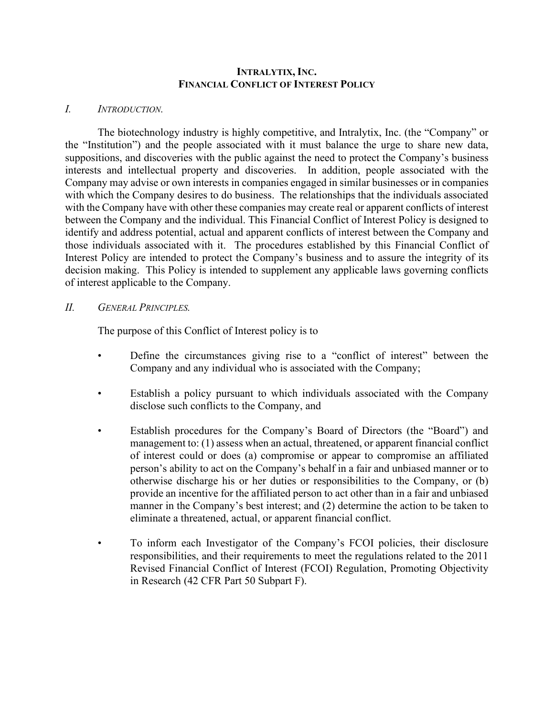#### **INTRALYTIX, INC. FINANCIAL CONFLICT OF INTEREST POLICY**

#### *I. INTRODUCTION.*

The biotechnology industry is highly competitive, and Intralytix, Inc. (the "Company" or the "Institution") and the people associated with it must balance the urge to share new data, suppositions, and discoveries with the public against the need to protect the Company's business interests and intellectual property and discoveries. In addition, people associated with the Company may advise or own interests in companies engaged in similar businesses or in companies with which the Company desires to do business. The relationships that the individuals associated with the Company have with other these companies may create real or apparent conflicts of interest between the Company and the individual. This Financial Conflict of Interest Policy is designed to identify and address potential, actual and apparent conflicts of interest between the Company and those individuals associated with it. The procedures established by this Financial Conflict of Interest Policy are intended to protect the Company's business and to assure the integrity of its decision making. This Policy is intended to supplement any applicable laws governing conflicts of interest applicable to the Company.

#### *II. GENERAL PRINCIPLES.*

The purpose of this Conflict of Interest policy is to

- Define the circumstances giving rise to a "conflict of interest" between the Company and any individual who is associated with the Company;
- Establish a policy pursuant to which individuals associated with the Company disclose such conflicts to the Company, and
- Establish procedures for the Company's Board of Directors (the "Board") and management to: (1) assess when an actual, threatened, or apparent financial conflict of interest could or does (a) compromise or appear to compromise an affiliated person's ability to act on the Company's behalf in a fair and unbiased manner or to otherwise discharge his or her duties or responsibilities to the Company, or (b) provide an incentive for the affiliated person to act other than in a fair and unbiased manner in the Company's best interest; and (2) determine the action to be taken to eliminate a threatened, actual, or apparent financial conflict.
- To inform each Investigator of the Company's FCOI policies, their disclosure responsibilities, and their requirements to meet the regulations related to the 2011 Revised Financial Conflict of Interest (FCOI) Regulation, Promoting Objectivity in Research (42 CFR Part 50 Subpart F).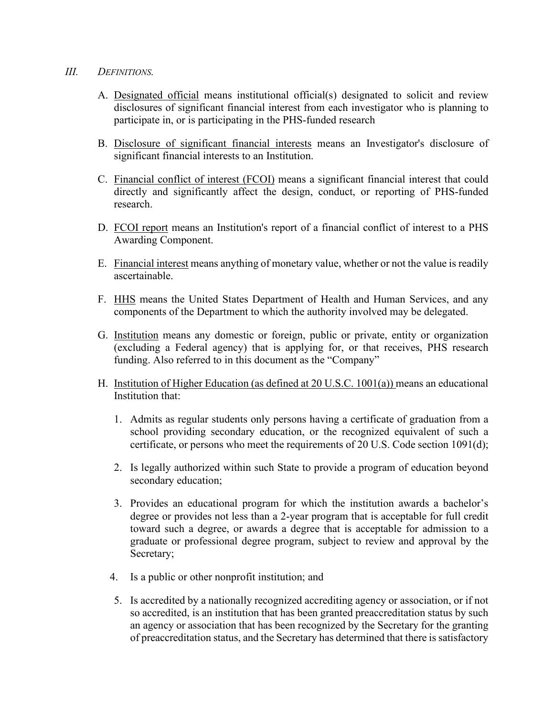#### *III. DEFINITIONS.*

- A. Designated official means institutional official(s) designated to solicit and review disclosures of significant financial interest from each investigator who is planning to participate in, or is participating in the PHS-funded research
- B. Disclosure of significant financial interests means an Investigator's disclosure of significant financial interests to an Institution.
- C. Financial conflict of interest (FCOI) means a significant financial interest that could directly and significantly affect the design, conduct, or reporting of PHS-funded research.
- D. FCOI report means an Institution's report of a financial conflict of interest to a PHS Awarding Component.
- E. Financial interest means anything of monetary value, whether or not the value is readily ascertainable.
- F. HHS means the United States Department of Health and Human Services, and any components of the Department to which the authority involved may be delegated.
- G. Institution means any domestic or foreign, public or private, entity or organization (excluding a Federal agency) that is applying for, or that receives, PHS research funding. Also referred to in this document as the "Company"
- H. Institution of Higher Education (as defined at 20 U.S.C. 1001(a)) means an educational Institution that:
	- 1. Admits as regular students only persons having a certificate of graduation from a school providing secondary education, or the recognized equivalent of such a certificate, or persons who meet the requirements of 20 U.S. Code section 1091(d);
	- 2. Is legally authorized within such State to provide a program of education beyond secondary education;
	- 3. Provides an educational program for which the institution awards a bachelor's degree or provides not less than a 2-year program that is acceptable for full credit toward such a degree, or awards a degree that is acceptable for admission to a graduate or professional degree program, subject to review and approval by the Secretary;
	- 4. Is a public or other nonprofit institution; and
	- 5. Is accredited by a nationally recognized accrediting agency or association, or if not so accredited, is an institution that has been granted preaccreditation status by such an agency or association that has been recognized by the Secretary for the granting of preaccreditation status, and the Secretary has determined that there is satisfactory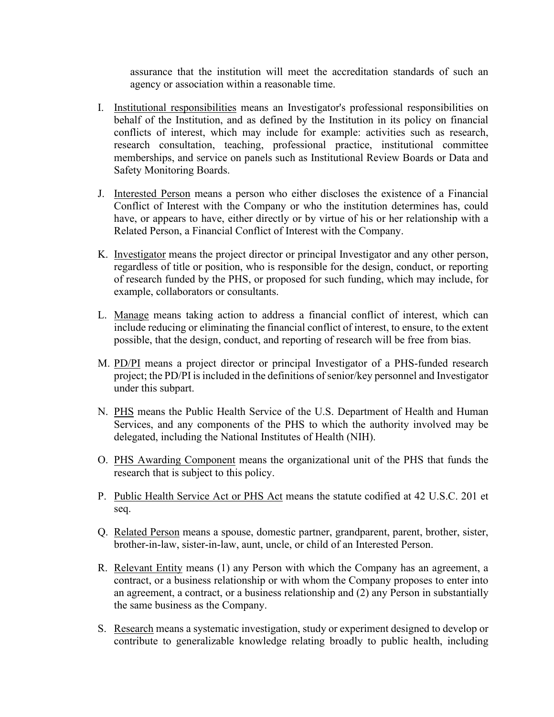assurance that the institution will meet the accreditation standards of such an agency or association within a reasonable time.

- I. Institutional responsibilities means an Investigator's professional responsibilities on behalf of the Institution, and as defined by the Institution in its policy on financial conflicts of interest, which may include for example: activities such as research, research consultation, teaching, professional practice, institutional committee memberships, and service on panels such as Institutional Review Boards or Data and Safety Monitoring Boards.
- J. Interested Person means a person who either discloses the existence of a Financial Conflict of Interest with the Company or who the institution determines has, could have, or appears to have, either directly or by virtue of his or her relationship with a Related Person, a Financial Conflict of Interest with the Company.
- K. Investigator means the project director or principal Investigator and any other person, regardless of title or position, who is responsible for the design, conduct, or reporting of research funded by the PHS, or proposed for such funding, which may include, for example, collaborators or consultants.
- L. Manage means taking action to address a financial conflict of interest, which can include reducing or eliminating the financial conflict of interest, to ensure, to the extent possible, that the design, conduct, and reporting of research will be free from bias.
- M. PD/PI means a project director or principal Investigator of a PHS-funded research project; the PD/PI is included in the definitions of senior/key personnel and Investigator under this subpart.
- N. PHS means the Public Health Service of the U.S. Department of Health and Human Services, and any components of the PHS to which the authority involved may be delegated, including the National Institutes of Health (NIH).
- O. PHS Awarding Component means the organizational unit of the PHS that funds the research that is subject to this policy.
- P. Public Health Service Act or PHS Act means the statute codified at 42 U.S.C. 201 et seq.
- Q. Related Person means a spouse, domestic partner, grandparent, parent, brother, sister, brother-in-law, sister-in-law, aunt, uncle, or child of an Interested Person.
- R. Relevant Entity means (1) any Person with which the Company has an agreement, a contract, or a business relationship or with whom the Company proposes to enter into an agreement, a contract, or a business relationship and (2) any Person in substantially the same business as the Company.
- S. Research means a systematic investigation, study or experiment designed to develop or contribute to generalizable knowledge relating broadly to public health, including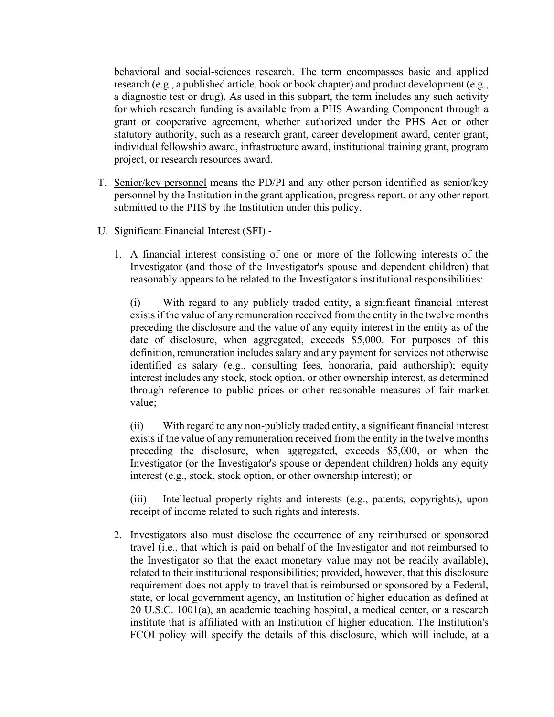behavioral and social-sciences research. The term encompasses basic and applied research (e.g., a published article, book or book chapter) and product development (e.g., a diagnostic test or drug). As used in this subpart, the term includes any such activity for which research funding is available from a PHS Awarding Component through a grant or cooperative agreement, whether authorized under the PHS Act or other statutory authority, such as a research grant, career development award, center grant, individual fellowship award, infrastructure award, institutional training grant, program project, or research resources award.

- T. Senior/key personnel means the PD/PI and any other person identified as senior/key personnel by the Institution in the grant application, progress report, or any other report submitted to the PHS by the Institution under this policy.
- U. Significant Financial Interest (SFI)
	- 1. A financial interest consisting of one or more of the following interests of the Investigator (and those of the Investigator's spouse and dependent children) that reasonably appears to be related to the Investigator's institutional responsibilities:

(i) With regard to any publicly traded entity, a significant financial interest exists if the value of any remuneration received from the entity in the twelve months preceding the disclosure and the value of any equity interest in the entity as of the date of disclosure, when aggregated, exceeds \$5,000. For purposes of this definition, remuneration includes salary and any payment for services not otherwise identified as salary (e.g., consulting fees, honoraria, paid authorship); equity interest includes any stock, stock option, or other ownership interest, as determined through reference to public prices or other reasonable measures of fair market value;

(ii) With regard to any non-publicly traded entity, a significant financial interest exists if the value of any remuneration received from the entity in the twelve months preceding the disclosure, when aggregated, exceeds \$5,000, or when the Investigator (or the Investigator's spouse or dependent children) holds any equity interest (e.g., stock, stock option, or other ownership interest); or

(iii) Intellectual property rights and interests (e.g., patents, copyrights), upon receipt of income related to such rights and interests.

2. Investigators also must disclose the occurrence of any reimbursed or sponsored travel (i.e., that which is paid on behalf of the Investigator and not reimbursed to the Investigator so that the exact monetary value may not be readily available), related to their institutional responsibilities; provided, however, that this disclosure requirement does not apply to travel that is reimbursed or sponsored by a Federal, state, or local government agency, an Institution of higher education as defined at 20 U.S.C. 1001(a), an academic teaching hospital, a medical center, or a research institute that is affiliated with an Institution of higher education. The Institution's FCOI policy will specify the details of this disclosure, which will include, at a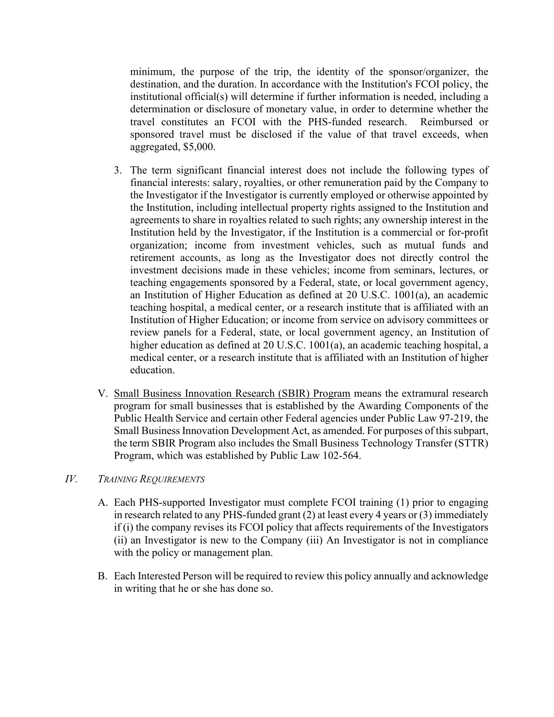minimum, the purpose of the trip, the identity of the sponsor/organizer, the destination, and the duration. In accordance with the Institution's FCOI policy, the institutional official(s) will determine if further information is needed, including a determination or disclosure of monetary value, in order to determine whether the travel constitutes an FCOI with the PHS-funded research. Reimbursed or sponsored travel must be disclosed if the value of that travel exceeds, when aggregated, \$5,000.

- 3. The term significant financial interest does not include the following types of financial interests: salary, royalties, or other remuneration paid by the Company to the Investigator if the Investigator is currently employed or otherwise appointed by the Institution, including intellectual property rights assigned to the Institution and agreements to share in royalties related to such rights; any ownership interest in the Institution held by the Investigator, if the Institution is a commercial or for-profit organization; income from investment vehicles, such as mutual funds and retirement accounts, as long as the Investigator does not directly control the investment decisions made in these vehicles; income from seminars, lectures, or teaching engagements sponsored by a Federal, state, or local government agency, an Institution of Higher Education as defined at 20 U.S.C. 1001(a), an academic teaching hospital, a medical center, or a research institute that is affiliated with an Institution of Higher Education; or income from service on advisory committees or review panels for a Federal, state, or local government agency, an Institution of higher education as defined at 20 U.S.C. 1001(a), an academic teaching hospital, a medical center, or a research institute that is affiliated with an Institution of higher education.
- V. Small Business Innovation Research (SBIR) Program means the extramural research program for small businesses that is established by the Awarding Components of the Public Health Service and certain other Federal agencies under Public Law 97-219, the Small Business Innovation Development Act, as amended. For purposes of this subpart, the term SBIR Program also includes the Small Business Technology Transfer (STTR) Program, which was established by Public Law 102-564.

## *IV. TRAINING REQUIREMENTS*

- A. Each PHS-supported Investigator must complete FCOI training (1) prior to engaging in research related to any PHS-funded grant (2) at least every 4 years or (3) immediately if (i) the company revises its FCOI policy that affects requirements of the Investigators (ii) an Investigator is new to the Company (iii) An Investigator is not in compliance with the policy or management plan.
- B. Each Interested Person will be required to review this policy annually and acknowledge in writing that he or she has done so.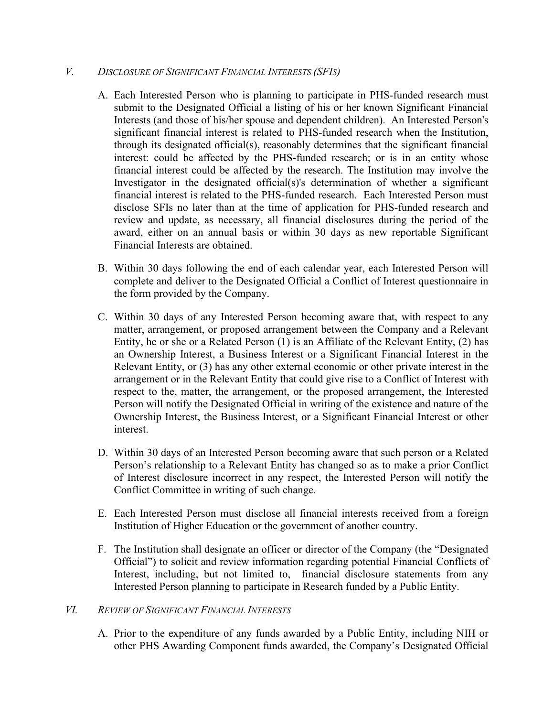## *V. DISCLOSURE OF SIGNIFICANT FINANCIAL INTERESTS (SFIS)*

- A. Each Interested Person who is planning to participate in PHS-funded research must submit to the Designated Official a listing of his or her known Significant Financial Interests (and those of his/her spouse and dependent children). An Interested Person's significant financial interest is related to PHS-funded research when the Institution, through its designated official(s), reasonably determines that the significant financial interest: could be affected by the PHS-funded research; or is in an entity whose financial interest could be affected by the research. The Institution may involve the Investigator in the designated official(s)'s determination of whether a significant financial interest is related to the PHS-funded research. Each Interested Person must disclose SFIs no later than at the time of application for PHS-funded research and review and update, as necessary, all financial disclosures during the period of the award, either on an annual basis or within 30 days as new reportable Significant Financial Interests are obtained.
- B. Within 30 days following the end of each calendar year, each Interested Person will complete and deliver to the Designated Official a Conflict of Interest questionnaire in the form provided by the Company.
- C. Within 30 days of any Interested Person becoming aware that, with respect to any matter, arrangement, or proposed arrangement between the Company and a Relevant Entity, he or she or a Related Person (1) is an Affiliate of the Relevant Entity, (2) has an Ownership Interest, a Business Interest or a Significant Financial Interest in the Relevant Entity, or (3) has any other external economic or other private interest in the arrangement or in the Relevant Entity that could give rise to a Conflict of Interest with respect to the, matter, the arrangement, or the proposed arrangement, the Interested Person will notify the Designated Official in writing of the existence and nature of the Ownership Interest, the Business Interest, or a Significant Financial Interest or other interest.
- D. Within 30 days of an Interested Person becoming aware that such person or a Related Person's relationship to a Relevant Entity has changed so as to make a prior Conflict of Interest disclosure incorrect in any respect, the Interested Person will notify the Conflict Committee in writing of such change.
- E. Each Interested Person must disclose all financial interests received from a foreign Institution of Higher Education or the government of another country.
- F. The Institution shall designate an officer or director of the Company (the "Designated Official") to solicit and review information regarding potential Financial Conflicts of Interest, including, but not limited to, financial disclosure statements from any Interested Person planning to participate in Research funded by a Public Entity.

### *VI. REVIEW OF SIGNIFICANT FINANCIAL INTERESTS*

A. Prior to the expenditure of any funds awarded by a Public Entity, including NIH or other PHS Awarding Component funds awarded, the Company's Designated Official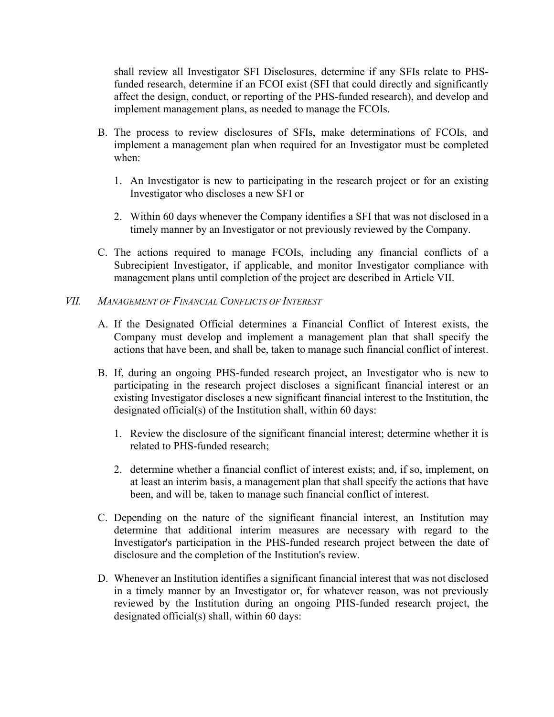shall review all Investigator SFI Disclosures, determine if any SFIs relate to PHSfunded research, determine if an FCOI exist (SFI that could directly and significantly affect the design, conduct, or reporting of the PHS-funded research), and develop and implement management plans, as needed to manage the FCOIs.

- B. The process to review disclosures of SFIs, make determinations of FCOIs, and implement a management plan when required for an Investigator must be completed when:
	- 1. An Investigator is new to participating in the research project or for an existing Investigator who discloses a new SFI or
	- 2. Within 60 days whenever the Company identifies a SFI that was not disclosed in a timely manner by an Investigator or not previously reviewed by the Company.
- C. The actions required to manage FCOIs, including any financial conflicts of a Subrecipient Investigator, if applicable, and monitor Investigator compliance with management plans until completion of the project are described in Article VII.

#### *VII. MANAGEMENT OF FINANCIAL CONFLICTS OF INTEREST*

- A. If the Designated Official determines a Financial Conflict of Interest exists, the Company must develop and implement a management plan that shall specify the actions that have been, and shall be, taken to manage such financial conflict of interest.
- B. If, during an ongoing PHS-funded research project, an Investigator who is new to participating in the research project discloses a significant financial interest or an existing Investigator discloses a new significant financial interest to the Institution, the designated official(s) of the Institution shall, within 60 days:
	- 1. Review the disclosure of the significant financial interest; determine whether it is related to PHS-funded research;
	- 2. determine whether a financial conflict of interest exists; and, if so, implement, on at least an interim basis, a management plan that shall specify the actions that have been, and will be, taken to manage such financial conflict of interest.
- C. Depending on the nature of the significant financial interest, an Institution may determine that additional interim measures are necessary with regard to the Investigator's participation in the PHS-funded research project between the date of disclosure and the completion of the Institution's review.
- D. Whenever an Institution identifies a significant financial interest that was not disclosed in a timely manner by an Investigator or, for whatever reason, was not previously reviewed by the Institution during an ongoing PHS-funded research project, the designated official(s) shall, within 60 days: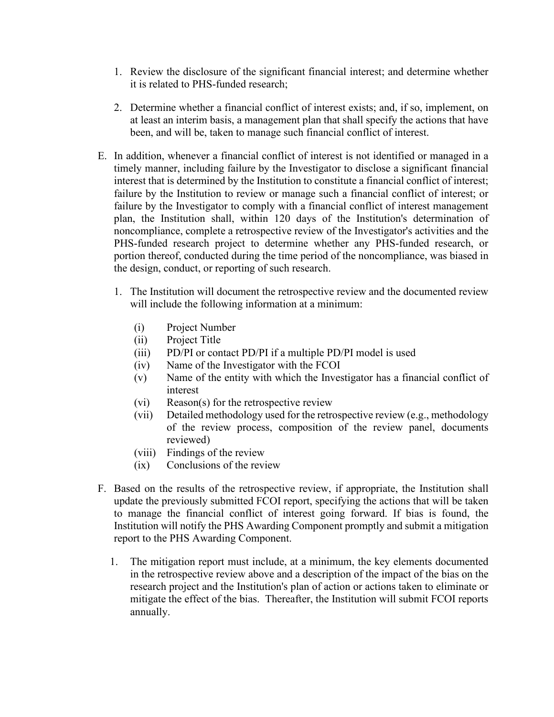- 1. Review the disclosure of the significant financial interest; and determine whether it is related to PHS-funded research;
- 2. Determine whether a financial conflict of interest exists; and, if so, implement, on at least an interim basis, a management plan that shall specify the actions that have been, and will be, taken to manage such financial conflict of interest.
- E. In addition, whenever a financial conflict of interest is not identified or managed in a timely manner, including failure by the Investigator to disclose a significant financial interest that is determined by the Institution to constitute a financial conflict of interest; failure by the Institution to review or manage such a financial conflict of interest; or failure by the Investigator to comply with a financial conflict of interest management plan, the Institution shall, within 120 days of the Institution's determination of noncompliance, complete a retrospective review of the Investigator's activities and the PHS-funded research project to determine whether any PHS-funded research, or portion thereof, conducted during the time period of the noncompliance, was biased in the design, conduct, or reporting of such research.
	- 1. The Institution will document the retrospective review and the documented review will include the following information at a minimum:
		- (i) Project Number
		- (ii) Project Title
		- (iii) PD/PI or contact PD/PI if a multiple PD/PI model is used
		- (iv) Name of the Investigator with the FCOI
		- (v) Name of the entity with which the Investigator has a financial conflict of interest
		- (vi) Reason(s) for the retrospective review
		- (vii) Detailed methodology used for the retrospective review (e.g., methodology of the review process, composition of the review panel, documents reviewed)
		- (viii) Findings of the review
		- (ix) Conclusions of the review
- F. Based on the results of the retrospective review, if appropriate, the Institution shall update the previously submitted FCOI report, specifying the actions that will be taken to manage the financial conflict of interest going forward. If bias is found, the Institution will notify the PHS Awarding Component promptly and submit a mitigation report to the PHS Awarding Component.
	- 1. The mitigation report must include, at a minimum, the key elements documented in the retrospective review above and a description of the impact of the bias on the research project and the Institution's plan of action or actions taken to eliminate or mitigate the effect of the bias. Thereafter, the Institution will submit FCOI reports annually.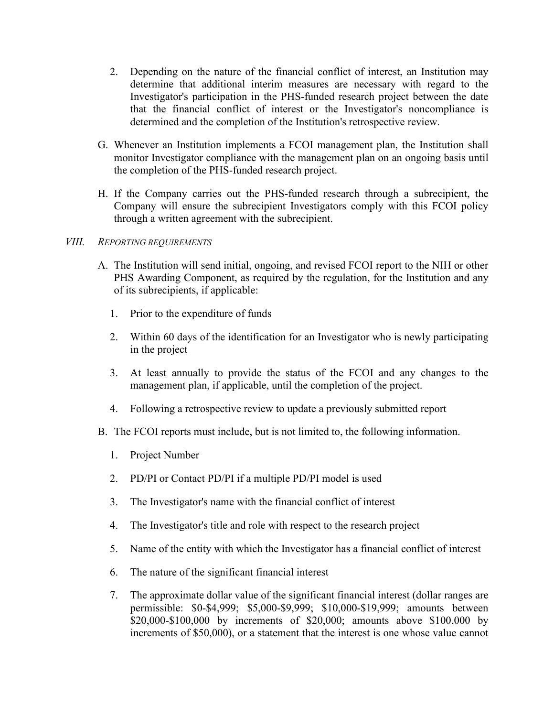- 2. Depending on the nature of the financial conflict of interest, an Institution may determine that additional interim measures are necessary with regard to the Investigator's participation in the PHS-funded research project between the date that the financial conflict of interest or the Investigator's noncompliance is determined and the completion of the Institution's retrospective review.
- G. Whenever an Institution implements a FCOI management plan, the Institution shall monitor Investigator compliance with the management plan on an ongoing basis until the completion of the PHS-funded research project.
- H. If the Company carries out the PHS-funded research through a subrecipient, the Company will ensure the subrecipient Investigators comply with this FCOI policy through a written agreement with the subrecipient.

### *VIII. REPORTING REQUIREMENTS*

- A. The Institution will send initial, ongoing, and revised FCOI report to the NIH or other PHS Awarding Component, as required by the regulation, for the Institution and any of its subrecipients, if applicable:
	- 1. Prior to the expenditure of funds
	- 2. Within 60 days of the identification for an Investigator who is newly participating in the project
	- 3. At least annually to provide the status of the FCOI and any changes to the management plan, if applicable, until the completion of the project.
	- 4. Following a retrospective review to update a previously submitted report
- B. The FCOI reports must include, but is not limited to, the following information.
	- 1. Project Number
	- 2. PD/PI or Contact PD/PI if a multiple PD/PI model is used
	- 3. The Investigator's name with the financial conflict of interest
	- 4. The Investigator's title and role with respect to the research project
	- 5. Name of the entity with which the Investigator has a financial conflict of interest
	- 6. The nature of the significant financial interest
	- 7. The approximate dollar value of the significant financial interest (dollar ranges are permissible: \$0-\$4,999; \$5,000-\$9,999; \$10,000-\$19,999; amounts between \$20,000-\$100,000 by increments of \$20,000; amounts above \$100,000 by increments of \$50,000), or a statement that the interest is one whose value cannot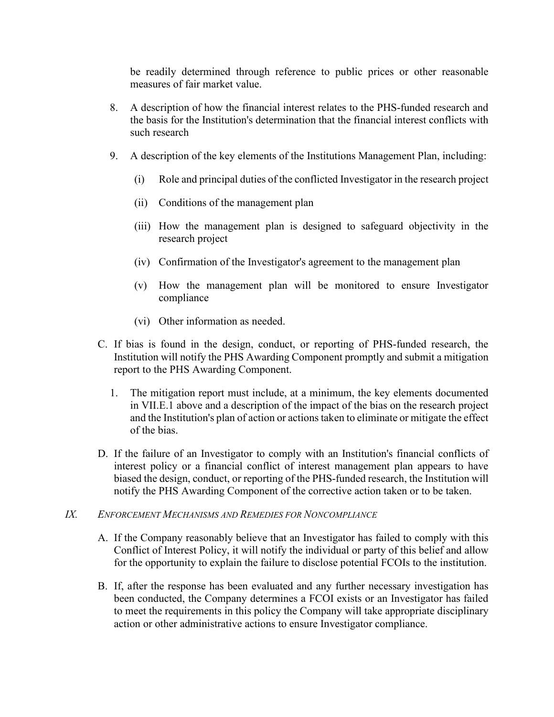be readily determined through reference to public prices or other reasonable measures of fair market value.

- 8. A description of how the financial interest relates to the PHS-funded research and the basis for the Institution's determination that the financial interest conflicts with such research
- 9. A description of the key elements of the Institutions Management Plan, including:
	- (i) Role and principal duties of the conflicted Investigator in the research project
	- (ii) Conditions of the management plan
	- (iii) How the management plan is designed to safeguard objectivity in the research project
	- (iv) Confirmation of the Investigator's agreement to the management plan
	- (v) How the management plan will be monitored to ensure Investigator compliance
	- (vi) Other information as needed.
- C. If bias is found in the design, conduct, or reporting of PHS-funded research, the Institution will notify the PHS Awarding Component promptly and submit a mitigation report to the PHS Awarding Component.
	- 1. The mitigation report must include, at a minimum, the key elements documented in VII.E.1 above and a description of the impact of the bias on the research project and the Institution's plan of action or actions taken to eliminate or mitigate the effect of the bias.
- D. If the failure of an Investigator to comply with an Institution's financial conflicts of interest policy or a financial conflict of interest management plan appears to have biased the design, conduct, or reporting of the PHS-funded research, the Institution will notify the PHS Awarding Component of the corrective action taken or to be taken.

### *IX. ENFORCEMENT MECHANISMS AND REMEDIES FOR NONCOMPLIANCE*

- A. If the Company reasonably believe that an Investigator has failed to comply with this Conflict of Interest Policy, it will notify the individual or party of this belief and allow for the opportunity to explain the failure to disclose potential FCOIs to the institution.
- B. If, after the response has been evaluated and any further necessary investigation has been conducted, the Company determines a FCOI exists or an Investigator has failed to meet the requirements in this policy the Company will take appropriate disciplinary action or other administrative actions to ensure Investigator compliance.